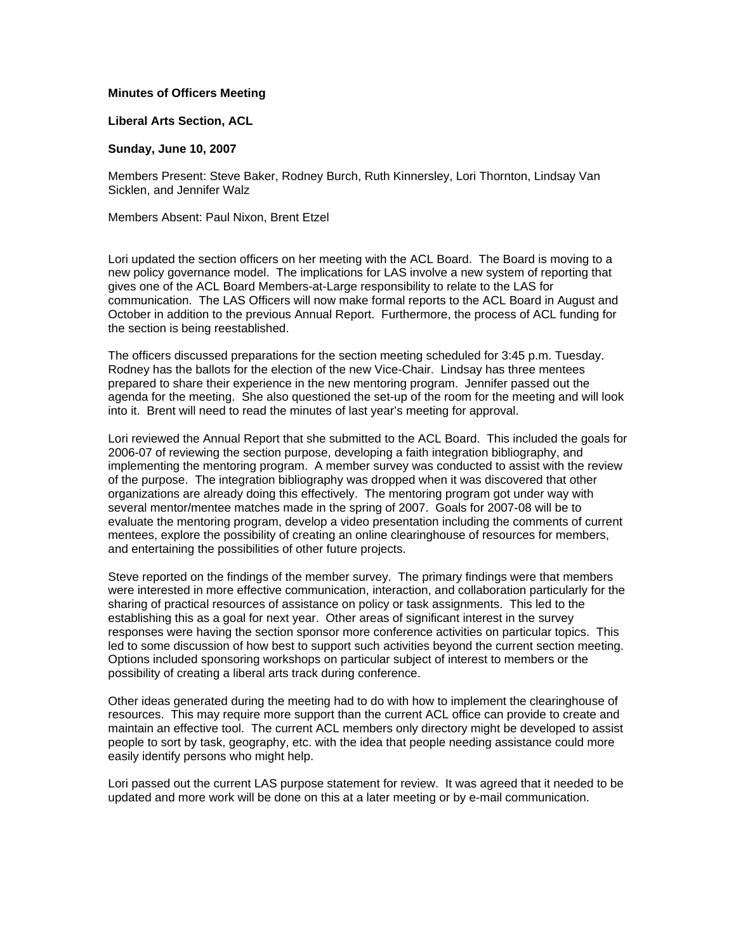## **Minutes of Officers Meeting**

## **Liberal Arts Section, ACL**

## **Sunday, June 10, 2007**

Members Present: Steve Baker, Rodney Burch, Ruth Kinnersley, Lori Thornton, Lindsay Van Sicklen, and Jennifer Walz

Members Absent: Paul Nixon, Brent Etzel

Lori updated the section officers on her meeting with the ACL Board. The Board is moving to a new policy governance model. The implications for LAS involve a new system of reporting that gives one of the ACL Board Members-at-Large responsibility to relate to the LAS for communication. The LAS Officers will now make formal reports to the ACL Board in August and October in addition to the previous Annual Report. Furthermore, the process of ACL funding for the section is being reestablished.

The officers discussed preparations for the section meeting scheduled for 3:45 p.m. Tuesday. Rodney has the ballots for the election of the new Vice-Chair. Lindsay has three mentees prepared to share their experience in the new mentoring program. Jennifer passed out the agenda for the meeting. She also questioned the set-up of the room for the meeting and will look into it. Brent will need to read the minutes of last year's meeting for approval.

Lori reviewed the Annual Report that she submitted to the ACL Board. This included the goals for 2006-07 of reviewing the section purpose, developing a faith integration bibliography, and implementing the mentoring program. A member survey was conducted to assist with the review of the purpose. The integration bibliography was dropped when it was discovered that other organizations are already doing this effectively. The mentoring program got under way with several mentor/mentee matches made in the spring of 2007. Goals for 2007-08 will be to evaluate the mentoring program, develop a video presentation including the comments of current mentees, explore the possibility of creating an online clearinghouse of resources for members, and entertaining the possibilities of other future projects.

Steve reported on the findings of the member survey. The primary findings were that members were interested in more effective communication, interaction, and collaboration particularly for the sharing of practical resources of assistance on policy or task assignments. This led to the establishing this as a goal for next year. Other areas of significant interest in the survey responses were having the section sponsor more conference activities on particular topics. This led to some discussion of how best to support such activities beyond the current section meeting. Options included sponsoring workshops on particular subject of interest to members or the possibility of creating a liberal arts track during conference.

Other ideas generated during the meeting had to do with how to implement the clearinghouse of resources. This may require more support than the current ACL office can provide to create and maintain an effective tool. The current ACL members only directory might be developed to assist people to sort by task, geography, etc. with the idea that people needing assistance could more easily identify persons who might help.

Lori passed out the current LAS purpose statement for review. It was agreed that it needed to be updated and more work will be done on this at a later meeting or by e-mail communication.